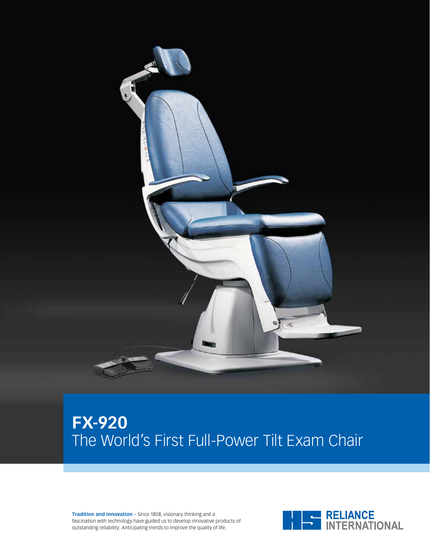

# **FX-920** The World's First Full-Power Tilt Exam Chair

**Tradition and Innovation** – Since 1858, visionary thinking and a fascination with technology have guided us to develop innovative products of outstanding reliability: Anticipating trends to improve the quality of life.